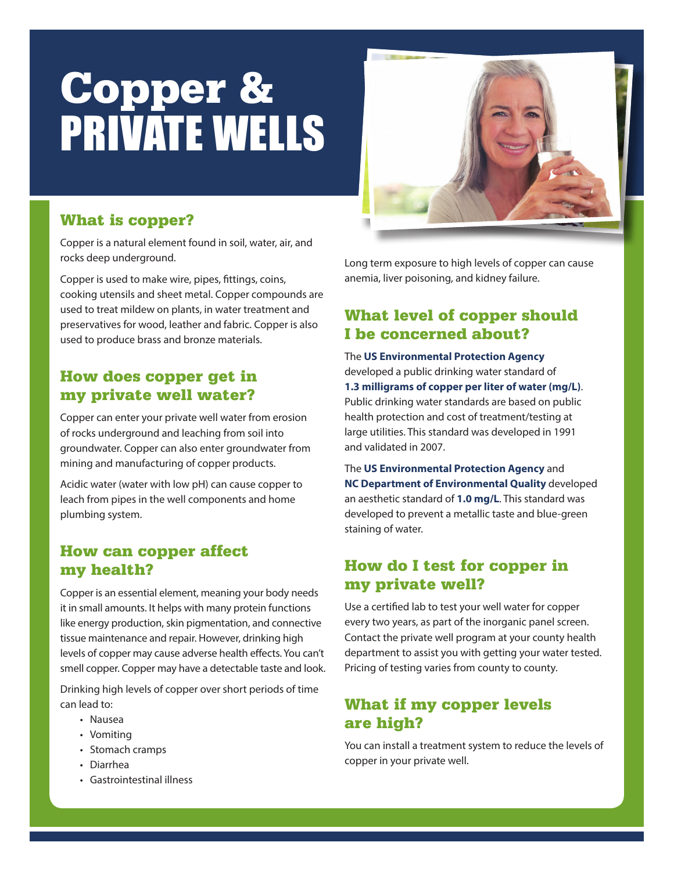# Copper & PRIVATE WELLS



# What is copper?

Copper is a natural element found in soil, water, air, and rocks deep underground.

Copper is used to make wire, pipes, fittings, coins, cooking utensils and sheet metal. Copper compounds are used to treat mildew on plants, in water treatment and preservatives for wood, leather and fabric. Copper is also used to produce brass and bronze materials.

## How does copper get in my private well water?

Copper can enter your private well water from erosion of rocks underground and leaching from soil into groundwater. Copper can also enter groundwater from mining and manufacturing of copper products.

Acidic water (water with low pH) can cause copper to leach from pipes in the well components and home plumbing system.

### How can copper affect my health?

Copper is an essential element, meaning your body needs it in small amounts. It helps with many protein functions like energy production, skin pigmentation, and connective tissue maintenance and repair. However, drinking high levels of copper may cause adverse health effects. You can't smell copper. Copper may have a detectable taste and look.

Drinking high levels of copper over short periods of time can lead to:

- Nausea
- Vomiting
- Stomach cramps
- Diarrhea
- Gastrointestinal illness

Long term exposure to high levels of copper can cause anemia, liver poisoning, and kidney failure.

## What level of copper should I be concerned about?

The **US Environmental Protection Agency** developed a public drinking water standard of **1.3 milligrams of copper per liter of water (mg/L)**. Public drinking water standards are based on public health protection and cost of treatment/testing at large utilities. This standard was developed in 1991 and validated in 2007.

The **US Environmental Protection Agency** and **NC Department of Environmental Quality** developed an aesthetic standard of **1.0 mg/L**. This standard was developed to prevent a metallic taste and blue-green staining of water.

# How do I test for copper in my private well?

Use a certified lab to test your well water for copper every two years, as part of the inorganic panel screen. Contact the private well program at your county health department to assist you with getting your water tested. Pricing of testing varies from county to county.

## What if my copper levels are high?

You can install a treatment system to reduce the levels of copper in your private well.